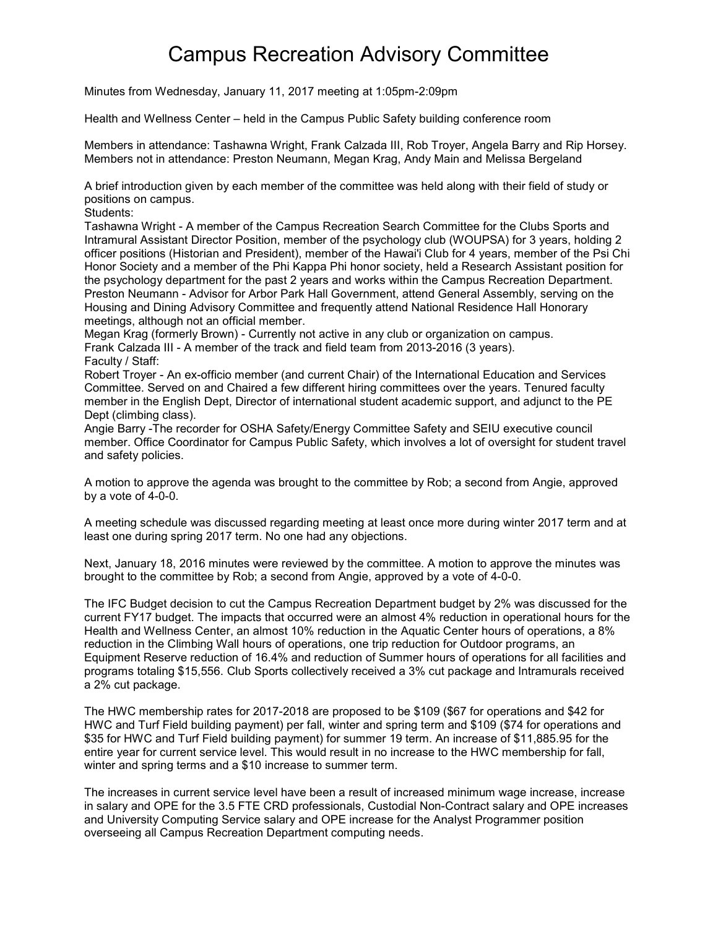## Campus Recreation Advisory Committee

Minutes from Wednesday, January 11, 2017 meeting at 1:05pm-2:09pm

Health and Wellness Center – held in the Campus Public Safety building conference room

Members in attendance: Tashawna Wright, Frank Calzada III, Rob Troyer, Angela Barry and Rip Horsey. Members not in attendance: Preston Neumann, Megan Krag, Andy Main and Melissa Bergeland

A brief introduction given by each member of the committee was held along with their field of study or positions on campus.

Students:

Tashawna Wright - A member of the Campus Recreation Search Committee for the Clubs Sports and Intramural Assistant Director Position, member of the psychology club (WOUPSA) for 3 years, holding 2 officer positions (Historian and President), member of the Hawai'i Club for 4 years, member of the Psi Chi Honor Society and a member of the Phi Kappa Phi honor society, held a Research Assistant position for the psychology department for the past 2 years and works within the Campus Recreation Department. Preston Neumann - Advisor for Arbor Park Hall Government, attend General Assembly, serving on the Housing and Dining Advisory Committee and frequently attend National Residence Hall Honorary meetings, although not an official member.

Megan Krag (formerly Brown) - Currently not active in any club or organization on campus. Frank Calzada III - A member of the track and field team from 2013-2016 (3 years). Faculty / Staff:

Robert Troyer - An ex-officio member (and current Chair) of the International Education and Services Committee. Served on and Chaired a few different hiring committees over the years. Tenured faculty member in the English Dept, Director of international student academic support, and adjunct to the PE Dept (climbing class).

Angie Barry -The recorder for OSHA Safety/Energy Committee Safety and SEIU executive council member. Office Coordinator for Campus Public Safety, which involves a lot of oversight for student travel and safety policies.

A motion to approve the agenda was brought to the committee by Rob; a second from Angie, approved by a vote of 4-0-0.

A meeting schedule was discussed regarding meeting at least once more during winter 2017 term and at least one during spring 2017 term. No one had any objections.

Next, January 18, 2016 minutes were reviewed by the committee. A motion to approve the minutes was brought to the committee by Rob; a second from Angie, approved by a vote of 4-0-0.

The IFC Budget decision to cut the Campus Recreation Department budget by 2% was discussed for the current FY17 budget. The impacts that occurred were an almost 4% reduction in operational hours for the Health and Wellness Center, an almost 10% reduction in the Aquatic Center hours of operations, a 8% reduction in the Climbing Wall hours of operations, one trip reduction for Outdoor programs, an Equipment Reserve reduction of 16.4% and reduction of Summer hours of operations for all facilities and programs totaling \$15,556. Club Sports collectively received a 3% cut package and Intramurals received a 2% cut package.

The HWC membership rates for 2017-2018 are proposed to be \$109 (\$67 for operations and \$42 for HWC and Turf Field building payment) per fall, winter and spring term and \$109 (\$74 for operations and \$35 for HWC and Turf Field building payment) for summer 19 term. An increase of \$11,885.95 for the entire year for current service level. This would result in no increase to the HWC membership for fall, winter and spring terms and a \$10 increase to summer term.

The increases in current service level have been a result of increased minimum wage increase, increase in salary and OPE for the 3.5 FTE CRD professionals, Custodial Non-Contract salary and OPE increases and University Computing Service salary and OPE increase for the Analyst Programmer position overseeing all Campus Recreation Department computing needs.